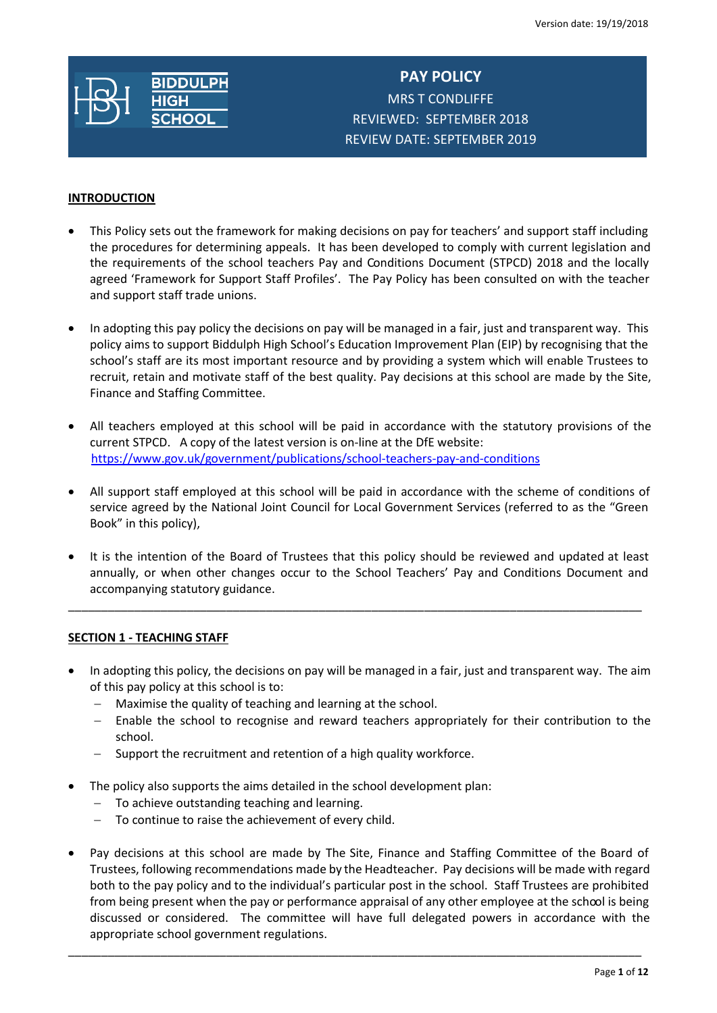

**PAY POLICY** MRS T CONDLIFFE REVIEWED: SEPTEMBER 2018 REVIEW DATE: SEPTEMBER 2019

## **INTRODUCTION**

- This Policy sets out the framework for making decisions on pay for teachers' and support staff including the procedures for determining appeals. It has been developed to comply with current legislation and the requirements of the school teachers Pay and Conditions Document (STPCD) 2018 and the locally agreed 'Framework for Support Staff Profiles'. The Pay Policy has been consulted on with the teacher and support staff trade unions.
- In adopting this pay policy the decisions on pay will be managed in a fair, just and transparent way. This policy aims to support Biddulph High School's Education Improvement Plan (EIP) by recognising that the school's staff are its most important resource and by providing a system which will enable Trustees to recruit, retain and motivate staff of the best quality. Pay decisions at this school are made by the Site, Finance and Staffing Committee.
- All teachers employed at this school will be paid in accordance with the statutory provisions of the current STPCD. A copy of the latest version is on-line at the DfE website: <https://www.gov.uk/government/publications/school-teachers-pay-and-conditions>
- All support staff employed at this school will be paid in accordance with the scheme of conditions of service agreed by the National Joint Council for Local Government Services (referred to as the "Green Book" in this policy),
- It is the intention of the Board of Trustees that this policy should be reviewed and updated at least annually, or when other changes occur to the School Teachers' Pay and Conditions Document and accompanying statutory guidance.

\_\_\_\_\_\_\_\_\_\_\_\_\_\_\_\_\_\_\_\_\_\_\_\_\_\_\_\_\_\_\_\_\_\_\_\_\_\_\_\_\_\_\_\_\_\_\_\_\_\_\_\_\_\_\_\_\_\_\_\_\_\_\_\_\_\_\_\_\_\_\_\_\_\_\_\_\_\_\_\_\_\_\_\_\_\_\_

#### **SECTION 1 - TEACHING STAFF**

- In adopting this policy, the decisions on pay will be managed in a fair, just and transparent way. The aim of this pay policy at this school is to:
	- Maximise the quality of teaching and learning at the school.
	- Enable the school to recognise and reward teachers appropriately for their contribution to the school.
	- Support the recruitment and retention of a high quality workforce.
- The policy also supports the aims detailed in the school development plan:
	- $-$  To achieve outstanding teaching and learning.
	- To continue to raise the achievement of every child.
- Pay decisions at this school are made by The Site, Finance and Staffing Committee of the Board of Trustees, following recommendations made by the Headteacher. Pay decisions will be made with regard both to the pay policy and to the individual's particular post in the school. Staff Trustees are prohibited from being present when the pay or performance appraisal of any other employee at the school is being discussed or considered. The committee will have full delegated powers in accordance with the appropriate school government regulations.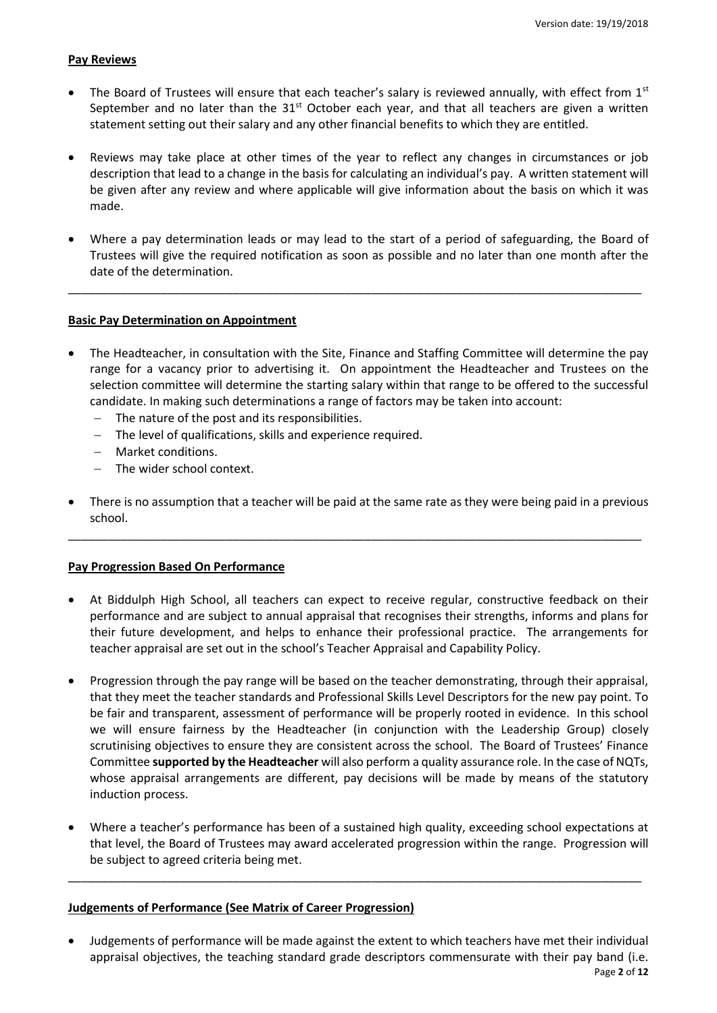#### **Pay Reviews**

- The Board of Trustees will ensure that each teacher's salary is reviewed annually, with effect from  $1<sup>st</sup>$ September and no later than the  $31<sup>st</sup>$  October each year, and that all teachers are given a written statement setting out their salary and any other financial benefits to which they are entitled.
- Reviews may take place at other times of the year to reflect any changes in circumstances or job description that lead to a change in the basis for calculating an individual's pay. A written statement will be given after any review and where applicable will give information about the basis on which it was made.
- Where a pay determination leads or may lead to the start of a period of safeguarding, the Board of Trustees will give the required notification as soon as possible and no later than one month after the date of the determination.

\_\_\_\_\_\_\_\_\_\_\_\_\_\_\_\_\_\_\_\_\_\_\_\_\_\_\_\_\_\_\_\_\_\_\_\_\_\_\_\_\_\_\_\_\_\_\_\_\_\_\_\_\_\_\_\_\_\_\_\_\_\_\_\_\_\_\_\_\_\_\_\_\_\_\_\_\_\_\_\_\_\_\_\_\_\_\_

## **Basic Pay Determination on Appointment**

- The Headteacher, in consultation with the Site, Finance and Staffing Committee will determine the pay range for a vacancy prior to advertising it. On appointment the Headteacher and Trustees on the selection committee will determine the starting salary within that range to be offered to the successful candidate. In making such determinations a range of factors may be taken into account:
	- The nature of the post and its responsibilities.
	- The level of qualifications, skills and experience required.
	- Market conditions.
	- The wider school context.
- There is no assumption that a teacher will be paid at the same rate as they were being paid in a previous school.

\_\_\_\_\_\_\_\_\_\_\_\_\_\_\_\_\_\_\_\_\_\_\_\_\_\_\_\_\_\_\_\_\_\_\_\_\_\_\_\_\_\_\_\_\_\_\_\_\_\_\_\_\_\_\_\_\_\_\_\_\_\_\_\_\_\_\_\_\_\_\_\_\_\_\_\_\_\_\_\_\_\_\_\_\_\_\_

# **Pay Progression Based On Performance**

- At Biddulph High School, all teachers can expect to receive regular, constructive feedback on their performance and are subject to annual appraisal that recognises their strengths, informs and plans for their future development, and helps to enhance their professional practice. The arrangements for teacher appraisal are set out in the school's Teacher Appraisal and Capability Policy.
- Progression through the pay range will be based on the teacher demonstrating, through their appraisal, that they meet the teacher standards and Professional Skills Level Descriptors for the new pay point. To be fair and transparent, assessment of performance will be properly rooted in evidence. In this school we will ensure fairness by the Headteacher (in conjunction with the Leadership Group) closely scrutinising objectives to ensure they are consistent across the school. The Board of Trustees' Finance Committee **supported by the Headteacher** will also perform a quality assurance role. In the case of NQTs, whose appraisal arrangements are different, pay decisions will be made by means of the statutory induction process.
- Where a teacher's performance has been of a sustained high quality, exceeding school expectations at that level, the Board of Trustees may award accelerated progression within the range. Progression will be subject to agreed criteria being met.

\_\_\_\_\_\_\_\_\_\_\_\_\_\_\_\_\_\_\_\_\_\_\_\_\_\_\_\_\_\_\_\_\_\_\_\_\_\_\_\_\_\_\_\_\_\_\_\_\_\_\_\_\_\_\_\_\_\_\_\_\_\_\_\_\_\_\_\_\_\_\_\_\_\_\_\_\_\_\_\_\_\_\_\_\_\_\_

#### **Judgements of Performance (See Matrix of Career Progression)**

 Judgements of performance will be made against the extent to which teachers have met their individual appraisal objectives, the teaching standard grade descriptors commensurate with their pay band (i.e.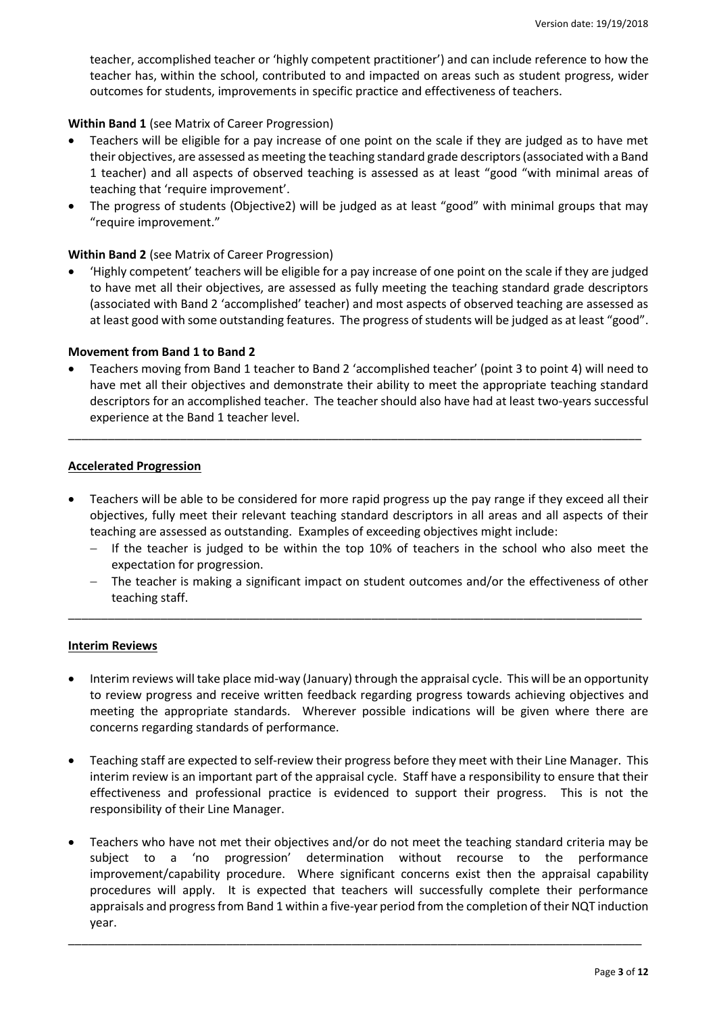teacher, accomplished teacher or 'highly competent practitioner') and can include reference to how the teacher has, within the school, contributed to and impacted on areas such as student progress, wider outcomes for students, improvements in specific practice and effectiveness of teachers.

## **Within Band 1** (see Matrix of Career Progression)

- Teachers will be eligible for a pay increase of one point on the scale if they are judged as to have met their objectives, are assessed as meeting the teaching standard grade descriptors (associated with a Band 1 teacher) and all aspects of observed teaching is assessed as at least "good "with minimal areas of teaching that 'require improvement'.
- The progress of students (Objective2) will be judged as at least "good" with minimal groups that may "require improvement."

## **Within Band 2** (see Matrix of Career Progression)

 'Highly competent' teachers will be eligible for a pay increase of one point on the scale if they are judged to have met all their objectives, are assessed as fully meeting the teaching standard grade descriptors (associated with Band 2 'accomplished' teacher) and most aspects of observed teaching are assessed as at least good with some outstanding features. The progress of students will be judged as at least "good".

#### **Movement from Band 1 to Band 2**

 Teachers moving from Band 1 teacher to Band 2 'accomplished teacher' (point 3 to point 4) will need to have met all their objectives and demonstrate their ability to meet the appropriate teaching standard descriptors for an accomplished teacher. The teacher should also have had at least two-years successful experience at the Band 1 teacher level.

\_\_\_\_\_\_\_\_\_\_\_\_\_\_\_\_\_\_\_\_\_\_\_\_\_\_\_\_\_\_\_\_\_\_\_\_\_\_\_\_\_\_\_\_\_\_\_\_\_\_\_\_\_\_\_\_\_\_\_\_\_\_\_\_\_\_\_\_\_\_\_\_\_\_\_\_\_\_\_\_\_\_\_\_\_\_\_

#### **Accelerated Progression**

- Teachers will be able to be considered for more rapid progress up the pay range if they exceed all their objectives, fully meet their relevant teaching standard descriptors in all areas and all aspects of their teaching are assessed as outstanding. Examples of exceeding objectives might include:
	- $-$  If the teacher is judged to be within the top 10% of teachers in the school who also meet the expectation for progression.
	- The teacher is making a significant impact on student outcomes and/or the effectiveness of other teaching staff.

\_\_\_\_\_\_\_\_\_\_\_\_\_\_\_\_\_\_\_\_\_\_\_\_\_\_\_\_\_\_\_\_\_\_\_\_\_\_\_\_\_\_\_\_\_\_\_\_\_\_\_\_\_\_\_\_\_\_\_\_\_\_\_\_\_\_\_\_\_\_\_\_\_\_\_\_\_\_\_\_\_\_\_\_\_\_\_

#### **Interim Reviews**

- Interim reviews will take place mid-way (January) through the appraisal cycle. This will be an opportunity to review progress and receive written feedback regarding progress towards achieving objectives and meeting the appropriate standards. Wherever possible indications will be given where there are concerns regarding standards of performance.
- Teaching staff are expected to self-review their progress before they meet with their Line Manager. This interim review is an important part of the appraisal cycle. Staff have a responsibility to ensure that their effectiveness and professional practice is evidenced to support their progress. This is not the responsibility of their Line Manager.
- Teachers who have not met their objectives and/or do not meet the teaching standard criteria may be subject to a 'no progression' determination without recourse to the performance improvement/capability procedure. Where significant concerns exist then the appraisal capability procedures will apply. It is expected that teachers will successfully complete their performance appraisals and progress from Band 1 within a five-year period from the completion of their NQT induction year.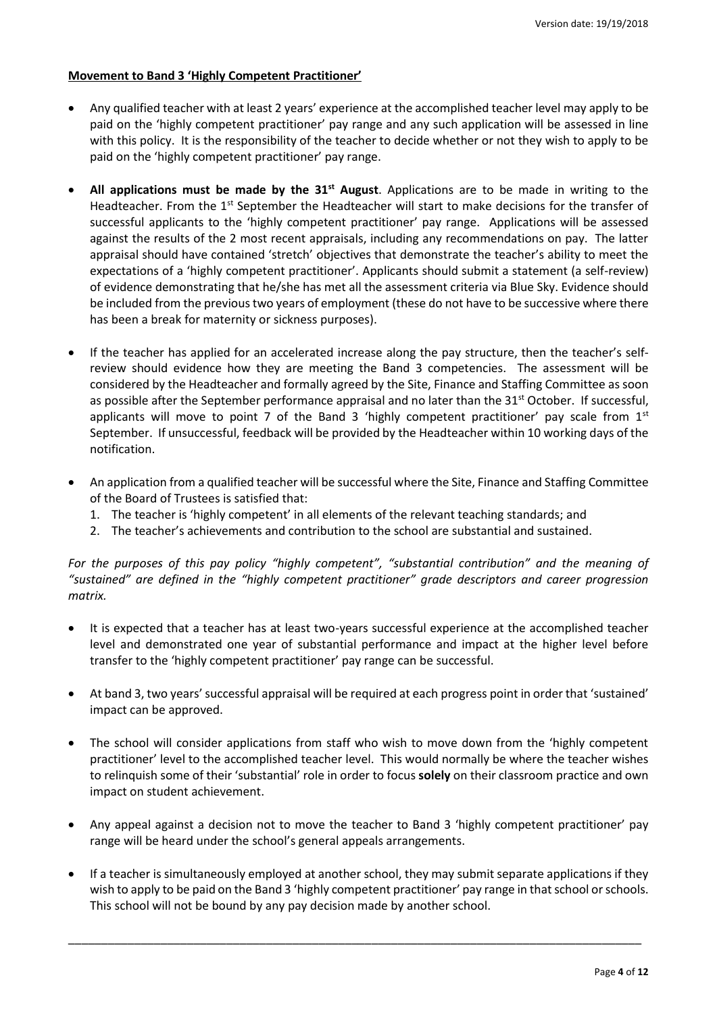## **Movement to Band 3 'Highly Competent Practitioner'**

- Any qualified teacher with at least 2 years' experience at the accomplished teacher level may apply to be paid on the 'highly competent practitioner' pay range and any such application will be assessed in line with this policy. It is the responsibility of the teacher to decide whether or not they wish to apply to be paid on the 'highly competent practitioner' pay range.
- **All applications must be made by the 31st August**. Applications are to be made in writing to the Headteacher. From the 1<sup>st</sup> September the Headteacher will start to make decisions for the transfer of successful applicants to the 'highly competent practitioner' pay range. Applications will be assessed against the results of the 2 most recent appraisals, including any recommendations on pay. The latter appraisal should have contained 'stretch' objectives that demonstrate the teacher's ability to meet the expectations of a 'highly competent practitioner'. Applicants should submit a statement (a self-review) of evidence demonstrating that he/she has met all the assessment criteria via Blue Sky. Evidence should be included from the previous two years of employment (these do not have to be successive where there has been a break for maternity or sickness purposes).
- If the teacher has applied for an accelerated increase along the pay structure, then the teacher's selfreview should evidence how they are meeting the Band 3 competencies. The assessment will be considered by the Headteacher and formally agreed by the Site, Finance and Staffing Committee as soon as possible after the September performance appraisal and no later than the 31<sup>st</sup> October. If successful, applicants will move to point 7 of the Band 3 'highly competent practitioner' pay scale from  $1<sup>st</sup>$ September. If unsuccessful, feedback will be provided by the Headteacher within 10 working days of the notification.
- An application from a qualified teacher will be successful where the Site, Finance and Staffing Committee of the Board of Trustees is satisfied that:
	- 1. The teacher is 'highly competent' in all elements of the relevant teaching standards; and
	- 2. The teacher's achievements and contribution to the school are substantial and sustained.

*For the purposes of this pay policy "highly competent", "substantial contribution" and the meaning of "sustained" are defined in the "highly competent practitioner" grade descriptors and career progression matrix.* 

- It is expected that a teacher has at least two-years successful experience at the accomplished teacher level and demonstrated one year of substantial performance and impact at the higher level before transfer to the 'highly competent practitioner' pay range can be successful.
- At band 3, two years' successful appraisal will be required at each progress point in order that 'sustained' impact can be approved.
- The school will consider applications from staff who wish to move down from the 'highly competent practitioner' level to the accomplished teacher level. This would normally be where the teacher wishes to relinquish some of their 'substantial' role in order to focus **solely** on their classroom practice and own impact on student achievement.
- Any appeal against a decision not to move the teacher to Band 3 'highly competent practitioner' pay range will be heard under the school's general appeals arrangements.
- If a teacher is simultaneously employed at another school, they may submit separate applications if they wish to apply to be paid on the Band 3 'highly competent practitioner' pay range in that school or schools. This school will not be bound by any pay decision made by another school.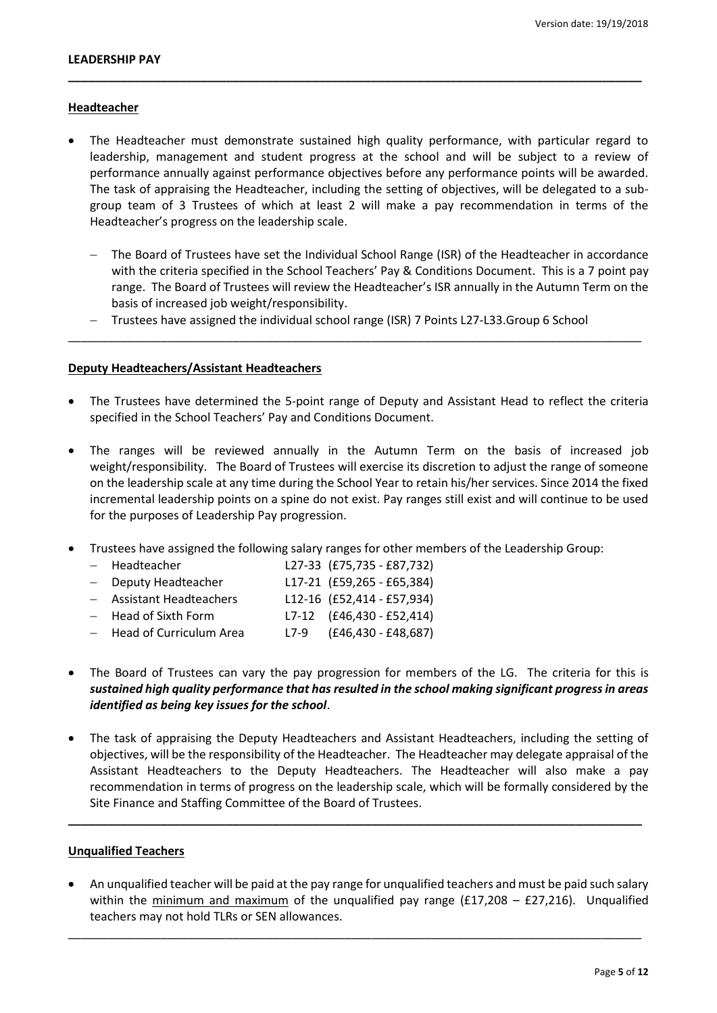### **Headteacher**

 The Headteacher must demonstrate sustained high quality performance, with particular regard to leadership, management and student progress at the school and will be subject to a review of performance annually against performance objectives before any performance points will be awarded. The task of appraising the Headteacher, including the setting of objectives, will be delegated to a subgroup team of 3 Trustees of which at least 2 will make a pay recommendation in terms of the Headteacher's progress on the leadership scale.

**\_\_\_\_\_\_\_\_\_\_\_\_\_\_\_\_\_\_\_\_\_\_\_\_\_\_\_\_\_\_\_\_\_\_\_\_\_\_\_\_\_\_\_\_\_\_\_\_\_\_\_\_\_\_\_\_\_\_\_\_\_\_\_\_\_\_\_\_\_\_\_\_\_\_\_\_\_\_\_\_\_\_\_\_\_\_\_**

- The Board of Trustees have set the Individual School Range (ISR) of the Headteacher in accordance with the criteria specified in the School Teachers' Pay & Conditions Document. This is a 7 point pay range. The Board of Trustees will review the Headteacher's ISR annually in the Autumn Term on the basis of increased job weight/responsibility.
- Trustees have assigned the individual school range (ISR) 7 Points L27-L33.Group 6 School

\_\_\_\_\_\_\_\_\_\_\_\_\_\_\_\_\_\_\_\_\_\_\_\_\_\_\_\_\_\_\_\_\_\_\_\_\_\_\_\_\_\_\_\_\_\_\_\_\_\_\_\_\_\_\_\_\_\_\_\_\_\_\_\_\_\_\_\_\_\_\_\_\_\_\_\_\_\_\_\_\_\_\_\_\_\_\_

#### **Deputy Headteachers/Assistant Headteachers**

- The Trustees have determined the 5-point range of Deputy and Assistant Head to reflect the criteria specified in the School Teachers' Pay and Conditions Document.
- The ranges will be reviewed annually in the Autumn Term on the basis of increased job weight/responsibility. The Board of Trustees will exercise its discretion to adjust the range of someone on the leadership scale at any time during the School Year to retain his/her services. Since 2014 the fixed incremental leadership points on a spine do not exist. Pay ranges still exist and will continue to be used for the purposes of Leadership Pay progression.
- Trustees have assigned the following salary ranges for other members of the Leadership Group:

| - Headteacher            | L27-33 (£75,735 - £87,732) |  |
|--------------------------|----------------------------|--|
| - Deputy Headteacher     | L17-21 (£59,265 - £65,384) |  |
| - Assistant Headteachers | L12-16 (£52,414 - £57,934) |  |
| - Head of Sixth Form     | L7-12 (£46,430 - £52,414)  |  |
| Hoad of Curriculum Aroa  | $170$ $(0.6020)$           |  |

- Head of Curriculum Area L7-9 (£46,430 £48,687)
- The Board of Trustees can vary the pay progression for members of the LG. The criteria for this is *sustained high quality performance that has resulted in the school making significant progress in areas identified as being key issues for the school*.
- The task of appraising the Deputy Headteachers and Assistant Headteachers, including the setting of objectives, will be the responsibility of the Headteacher. The Headteacher may delegate appraisal of the Assistant Headteachers to the Deputy Headteachers. The Headteacher will also make a pay recommendation in terms of progress on the leadership scale, which will be formally considered by the Site Finance and Staffing Committee of the Board of Trustees.

**\_\_\_\_\_\_\_\_\_\_\_\_\_\_\_\_\_\_\_\_\_\_\_\_\_\_\_\_\_\_\_\_\_\_\_\_\_\_\_\_\_\_\_\_\_\_\_\_\_\_\_\_\_\_\_\_\_\_\_\_\_\_\_\_\_\_\_\_\_\_\_\_\_\_\_\_\_\_\_\_\_\_\_\_\_\_\_**

## **Unqualified Teachers**

 An unqualified teacher will be paid at the pay range for unqualified teachers and must be paid such salary within the minimum and maximum of the unqualified pay range (£17,208 - £27,216). Unqualified teachers may not hold TLRs or SEN allowances.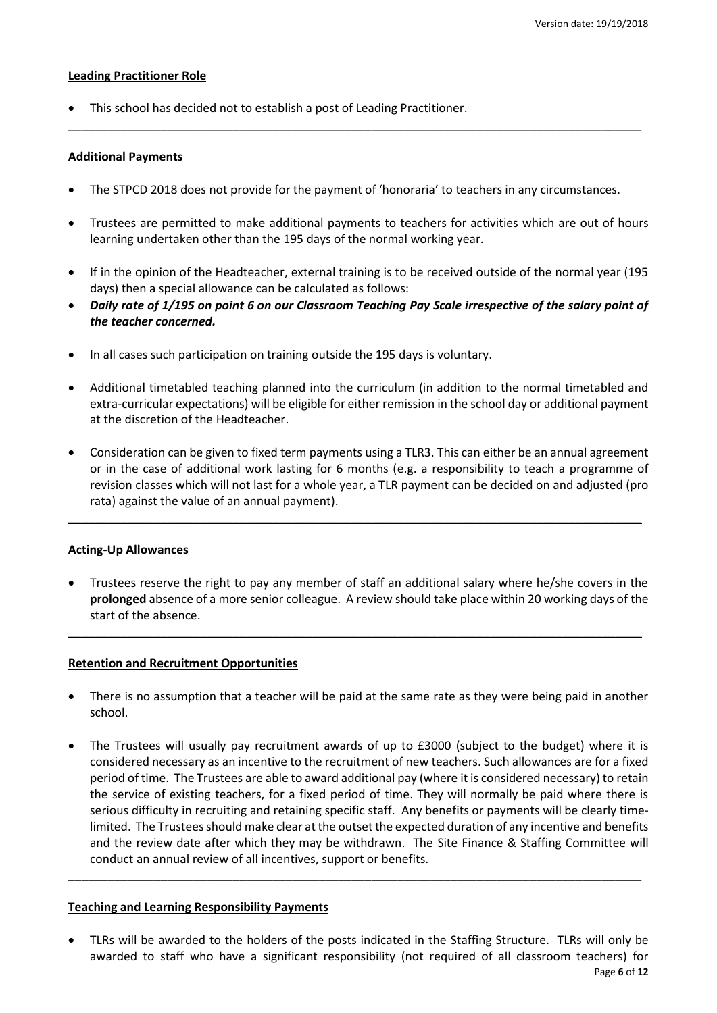#### **Leading Practitioner Role**

This school has decided not to establish a post of Leading Practitioner.

## **Additional Payments**

The STPCD 2018 does not provide for the payment of 'honoraria' to teachers in any circumstances.

\_\_\_\_\_\_\_\_\_\_\_\_\_\_\_\_\_\_\_\_\_\_\_\_\_\_\_\_\_\_\_\_\_\_\_\_\_\_\_\_\_\_\_\_\_\_\_\_\_\_\_\_\_\_\_\_\_\_\_\_\_\_\_\_\_\_\_\_\_\_\_\_\_\_\_\_\_\_\_\_\_\_\_\_\_\_\_

- Trustees are permitted to make additional payments to teachers for activities which are out of hours learning undertaken other than the 195 days of the normal working year.
- If in the opinion of the Headteacher, external training is to be received outside of the normal year (195 days) then a special allowance can be calculated as follows:
- *Daily rate of 1/195 on point 6 on our Classroom Teaching Pay Scale irrespective of the salary point of the teacher concerned.*
- In all cases such participation on training outside the 195 days is voluntary.
- Additional timetabled teaching planned into the curriculum (in addition to the normal timetabled and extra-curricular expectations) will be eligible for either remission in the school day or additional payment at the discretion of the Headteacher.
- Consideration can be given to fixed term payments using a TLR3. This can either be an annual agreement or in the case of additional work lasting for 6 months (e.g. a responsibility to teach a programme of revision classes which will not last for a whole year, a TLR payment can be decided on and adjusted (pro rata) against the value of an annual payment).

**\_\_\_\_\_\_\_\_\_\_\_\_\_\_\_\_\_\_\_\_\_\_\_\_\_\_\_\_\_\_\_\_\_\_\_\_\_\_\_\_\_\_\_\_\_\_\_\_\_\_\_\_\_\_\_\_\_\_\_\_\_\_\_\_\_\_\_\_\_\_\_\_\_\_\_\_\_\_\_\_\_\_\_\_\_\_\_**

#### **Acting-Up Allowances**

 Trustees reserve the right to pay any member of staff an additional salary where he/she covers in the **prolonged** absence of a more senior colleague. A review should take place within 20 working days of the start of the absence.

**\_\_\_\_\_\_\_\_\_\_\_\_\_\_\_\_\_\_\_\_\_\_\_\_\_\_\_\_\_\_\_\_\_\_\_\_\_\_\_\_\_\_\_\_\_\_\_\_\_\_\_\_\_\_\_\_\_\_\_\_\_\_\_\_\_\_\_\_\_\_\_\_\_\_\_\_\_\_\_\_\_\_\_\_\_\_\_**

# **Retention and Recruitment Opportunities**

- There is no assumption that a teacher will be paid at the same rate as they were being paid in another school.
- The Trustees will usually pay recruitment awards of up to £3000 (subject to the budget) where it is considered necessary as an incentive to the recruitment of new teachers. Such allowances are for a fixed period of time. The Trustees are able to award additional pay (where it is considered necessary) to retain the service of existing teachers, for a fixed period of time. They will normally be paid where there is serious difficulty in recruiting and retaining specific staff. Any benefits or payments will be clearly timelimited. The Trustees should make clear at the outset the expected duration of any incentive and benefits and the review date after which they may be withdrawn. The Site Finance & Staffing Committee will conduct an annual review of all incentives, support or benefits.

\_\_\_\_\_\_\_\_\_\_\_\_\_\_\_\_\_\_\_\_\_\_\_\_\_\_\_\_\_\_\_\_\_\_\_\_\_\_\_\_\_\_\_\_\_\_\_\_\_\_\_\_\_\_\_\_\_\_\_\_\_\_\_\_\_\_\_\_\_\_\_\_\_\_\_\_\_\_\_\_\_\_\_\_\_\_\_

# **Teaching and Learning Responsibility Payments**

Page **6** of **12** TLRs will be awarded to the holders of the posts indicated in the Staffing Structure. TLRs will only be awarded to staff who have a significant responsibility (not required of all classroom teachers) for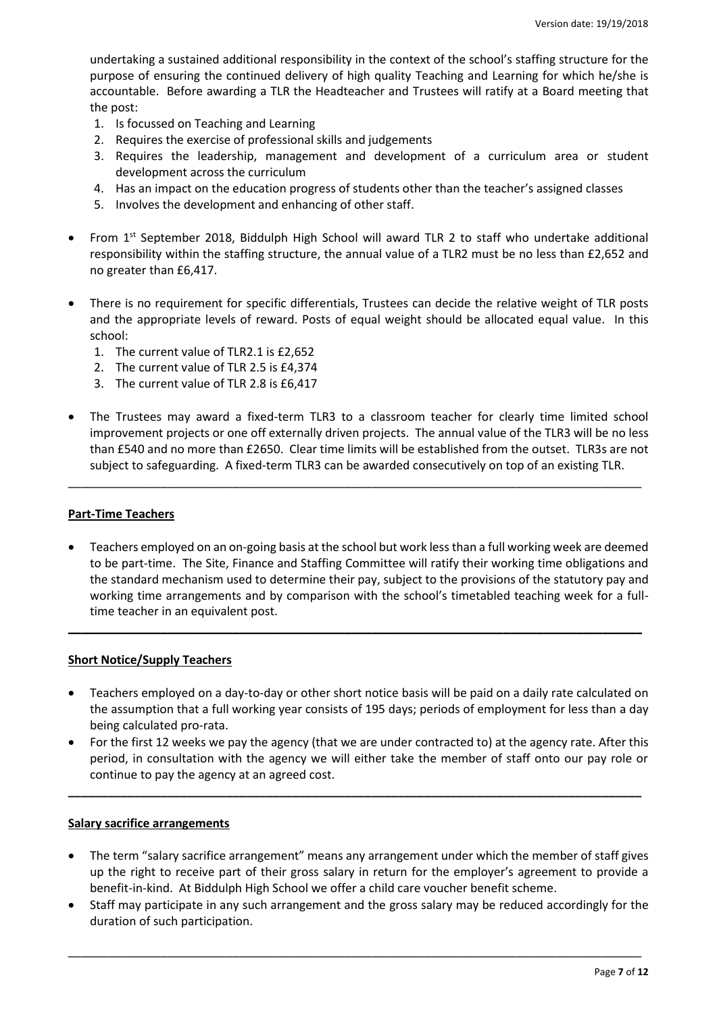undertaking a sustained additional responsibility in the context of the school's staffing structure for the purpose of ensuring the continued delivery of high quality Teaching and Learning for which he/she is accountable. Before awarding a TLR the Headteacher and Trustees will ratify at a Board meeting that the post:

- 1. Is focussed on Teaching and Learning
- 2. Requires the exercise of professional skills and judgements
- 3. Requires the leadership, management and development of a curriculum area or student development across the curriculum
- 4. Has an impact on the education progress of students other than the teacher's assigned classes
- 5. Involves the development and enhancing of other staff.
- From 1st September 2018, Biddulph High School will award TLR 2 to staff who undertake additional responsibility within the staffing structure, the annual value of a TLR2 must be no less than £2,652 and no greater than £6,417.
- There is no requirement for specific differentials, Trustees can decide the relative weight of TLR posts and the appropriate levels of reward. Posts of equal weight should be allocated equal value. In this school:
	- 1. The current value of TLR2.1 is £2,652
	- 2. The current value of TLR 2.5 is £4,374
	- 3. The current value of TLR 2.8 is £6,417
- The Trustees may award a fixed-term TLR3 to a classroom teacher for clearly time limited school improvement projects or one off externally driven projects. The annual value of the TLR3 will be no less than £540 and no more than £2650. Clear time limits will be established from the outset. TLR3s are not subject to safeguarding. A fixed-term TLR3 can be awarded consecutively on top of an existing TLR.

\_\_\_\_\_\_\_\_\_\_\_\_\_\_\_\_\_\_\_\_\_\_\_\_\_\_\_\_\_\_\_\_\_\_\_\_\_\_\_\_\_\_\_\_\_\_\_\_\_\_\_\_\_\_\_\_\_\_\_\_\_\_\_\_\_\_\_\_\_\_\_\_\_\_\_\_\_\_\_\_\_\_\_\_\_\_\_

# **Part-Time Teachers**

 Teachers employed on an on-going basis at the school but work less than a full working week are deemed to be part-time. The Site, Finance and Staffing Committee will ratify their working time obligations and the standard mechanism used to determine their pay, subject to the provisions of the statutory pay and working time arrangements and by comparison with the school's timetabled teaching week for a fulltime teacher in an equivalent post.

**\_\_\_\_\_\_\_\_\_\_\_\_\_\_\_\_\_\_\_\_\_\_\_\_\_\_\_\_\_\_\_\_\_\_\_\_\_\_\_\_\_\_\_\_\_\_\_\_\_\_\_\_\_\_\_\_\_\_\_\_\_\_\_\_\_\_\_\_\_\_\_\_\_\_\_\_\_\_\_\_\_\_\_\_\_\_\_**

#### **Short Notice/Supply Teachers**

- Teachers employed on a day-to-day or other short notice basis will be paid on a daily rate calculated on the assumption that a full working year consists of 195 days; periods of employment for less than a day being calculated pro-rata.
- For the first 12 weeks we pay the agency (that we are under contracted to) at the agency rate. After this period, in consultation with the agency we will either take the member of staff onto our pay role or continue to pay the agency at an agreed cost.

**\_\_\_\_\_\_\_\_\_\_\_\_\_\_\_\_\_\_\_\_\_\_\_\_\_\_\_\_\_\_\_\_\_\_\_\_\_\_\_\_\_\_\_\_\_\_\_\_\_\_\_\_\_\_\_\_\_\_\_\_\_\_\_\_\_\_\_\_\_\_\_\_\_\_\_\_\_\_\_\_\_\_\_\_\_\_\_**

#### **Salary sacrifice arrangements**

- The term "salary sacrifice arrangement" means any arrangement under which the member of staff gives up the right to receive part of their gross salary in return for the employer's agreement to provide a benefit-in-kind. At Biddulph High School we offer a child care voucher benefit scheme.
- Staff may participate in any such arrangement and the gross salary may be reduced accordingly for the duration of such participation.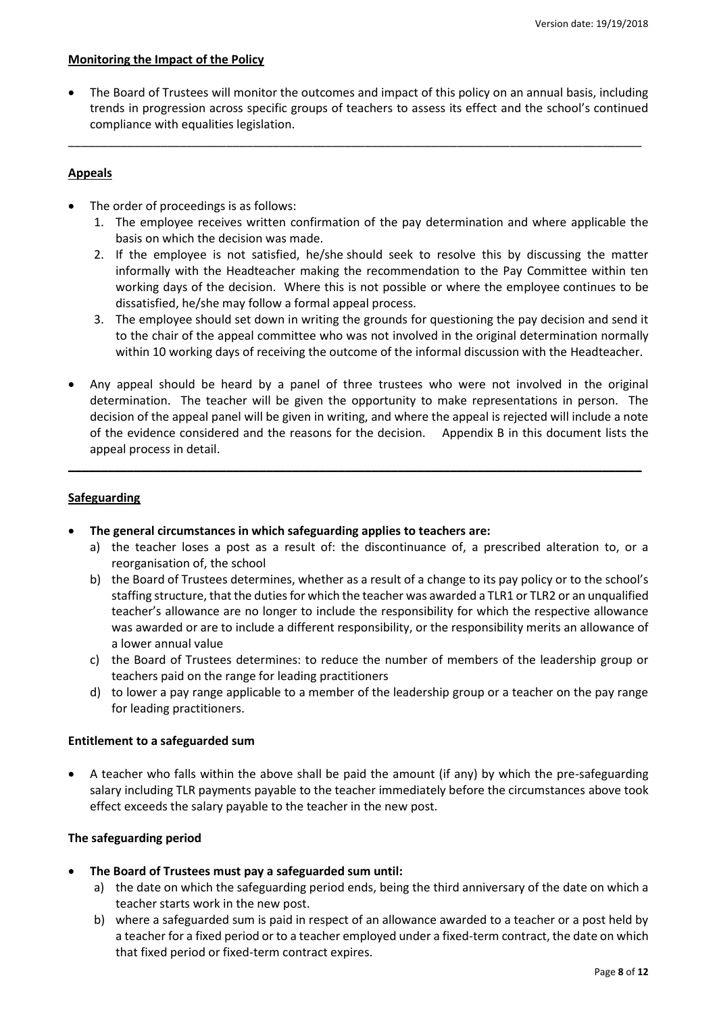## **Monitoring the Impact of the Policy**

 The Board of Trustees will monitor the outcomes and impact of this policy on an annual basis, including trends in progression across specific groups of teachers to assess its effect and the school's continued compliance with equalities legislation.

\_\_\_\_\_\_\_\_\_\_\_\_\_\_\_\_\_\_\_\_\_\_\_\_\_\_\_\_\_\_\_\_\_\_\_\_\_\_\_\_\_\_\_\_\_\_\_\_\_\_\_\_\_\_\_\_\_\_\_\_\_\_\_\_\_\_\_\_\_\_\_\_\_\_\_\_\_\_\_\_\_\_\_\_\_\_\_

# **Appeals**

- The order of proceedings is as follows:
	- 1. The employee receives written confirmation of the pay determination and where applicable the basis on which the decision was made.
	- 2. If the employee is not satisfied, he/she should seek to resolve this by discussing the matter informally with the Headteacher making the recommendation to the Pay Committee within ten working days of the decision. Where this is not possible or where the employee continues to be dissatisfied, he/she may follow a formal appeal process.
	- 3. The employee should set down in writing the grounds for questioning the pay decision and send it to the chair of the appeal committee who was not involved in the original determination normally within 10 working days of receiving the outcome of the informal discussion with the Headteacher.
- Any appeal should be heard by a panel of three trustees who were not involved in the original determination. The teacher will be given the opportunity to make representations in person. The decision of the appeal panel will be given in writing, and where the appeal is rejected will include a note of the evidence considered and the reasons for the decision. Appendix B in this document lists the appeal process in detail.

**\_\_\_\_\_\_\_\_\_\_\_\_\_\_\_\_\_\_\_\_\_\_\_\_\_\_\_\_\_\_\_\_\_\_\_\_\_\_\_\_\_\_\_\_\_\_\_\_\_\_\_\_\_\_\_\_\_\_\_\_\_\_\_\_\_\_\_\_\_\_\_\_\_\_\_\_\_\_\_\_\_\_\_\_\_\_\_**

# **Safeguarding**

- **The general circumstances in which safeguarding applies to teachers are:**
	- a) the teacher loses a post as a result of: the discontinuance of, a prescribed alteration to, or a reorganisation of, the school
	- b) the Board of Trustees determines, whether as a result of a change to its pay policy or to the school's staffing structure, that the duties for which the teacher was awarded a TLR1 or TLR2 or an unqualified teacher's allowance are no longer to include the responsibility for which the respective allowance was awarded or are to include a different responsibility, or the responsibility merits an allowance of a lower annual value
	- c) the Board of Trustees determines: to reduce the number of members of the leadership group or teachers paid on the range for leading practitioners
	- d) to lower a pay range applicable to a member of the leadership group or a teacher on the pay range for leading practitioners.

# **Entitlement to a safeguarded sum**

 A teacher who falls within the above shall be paid the amount (if any) by which the pre-safeguarding salary including TLR payments payable to the teacher immediately before the circumstances above took effect exceeds the salary payable to the teacher in the new post.

# **The safeguarding period**

- **The Board of Trustees must pay a safeguarded sum until:** 
	- a) the date on which the safeguarding period ends, being the third anniversary of the date on which a teacher starts work in the new post.
	- b) where a safeguarded sum is paid in respect of an allowance awarded to a teacher or a post held by a teacher for a fixed period or to a teacher employed under a fixed-term contract, the date on which that fixed period or fixed-term contract expires.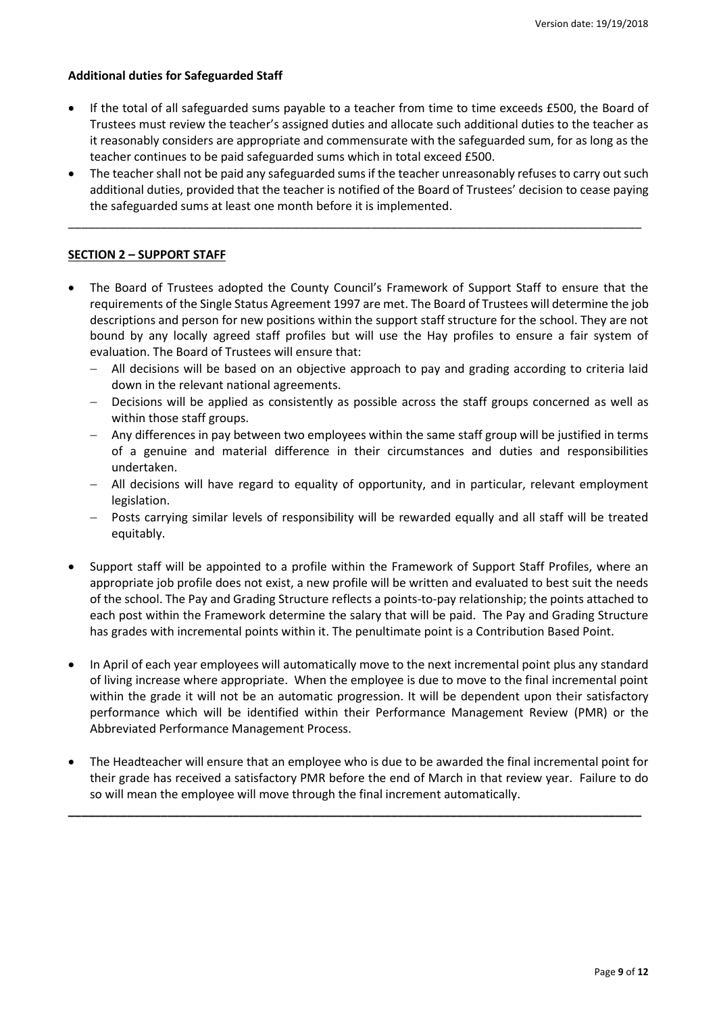## **Additional duties for Safeguarded Staff**

- If the total of all safeguarded sums payable to a teacher from time to time exceeds £500, the Board of Trustees must review the teacher's assigned duties and allocate such additional duties to the teacher as it reasonably considers are appropriate and commensurate with the safeguarded sum, for as long as the teacher continues to be paid safeguarded sums which in total exceed £500.
- The teacher shall not be paid any safeguarded sums if the teacher unreasonably refuses to carry out such additional duties, provided that the teacher is notified of the Board of Trustees' decision to cease paying the safeguarded sums at least one month before it is implemented.

\_\_\_\_\_\_\_\_\_\_\_\_\_\_\_\_\_\_\_\_\_\_\_\_\_\_\_\_\_\_\_\_\_\_\_\_\_\_\_\_\_\_\_\_\_\_\_\_\_\_\_\_\_\_\_\_\_\_\_\_\_\_\_\_\_\_\_\_\_\_\_\_\_\_\_\_\_\_\_\_\_\_\_\_\_\_\_

## **SECTION 2 – SUPPORT STAFF**

- The Board of Trustees adopted the County Council's Framework of Support Staff to ensure that the requirements of the Single Status Agreement 1997 are met. The Board of Trustees will determine the job descriptions and person for new positions within the support staff structure for the school. They are not bound by any locally agreed staff profiles but will use the Hay profiles to ensure a fair system of evaluation. The Board of Trustees will ensure that:
	- All decisions will be based on an objective approach to pay and grading according to criteria laid down in the relevant national agreements.
	- Decisions will be applied as consistently as possible across the staff groups concerned as well as within those staff groups.
	- Any differences in pay between two employees within the same staff group will be justified in terms of a genuine and material difference in their circumstances and duties and responsibilities undertaken.
	- All decisions will have regard to equality of opportunity, and in particular, relevant employment legislation.
	- Posts carrying similar levels of responsibility will be rewarded equally and all staff will be treated equitably.
- Support staff will be appointed to a profile within the Framework of Support Staff Profiles, where an appropriate job profile does not exist, a new profile will be written and evaluated to best suit the needs of the school. The Pay and Grading Structure reflects a points-to-pay relationship; the points attached to each post within the Framework determine the salary that will be paid. The Pay and Grading Structure has grades with incremental points within it. The penultimate point is a Contribution Based Point.
- In April of each year employees will automatically move to the next incremental point plus any standard of living increase where appropriate. When the employee is due to move to the final incremental point within the grade it will not be an automatic progression. It will be dependent upon their satisfactory performance which will be identified within their [Performance Management Review](http://education.staffordshire.gov.uk/NR/exeres/001E8C29-A62F-4D92-A937-1FC5698E9203,frameless.htm?NRMODE=Published) (PMR) or the Abbreviated Performance Management Process.
- The Headteacher will ensure that an employee who is due to be awarded the final incremental point for their grade has received a satisfactory PMR before the end of March in that review year. Failure to do so will mean the employee will move through the final increment automatically.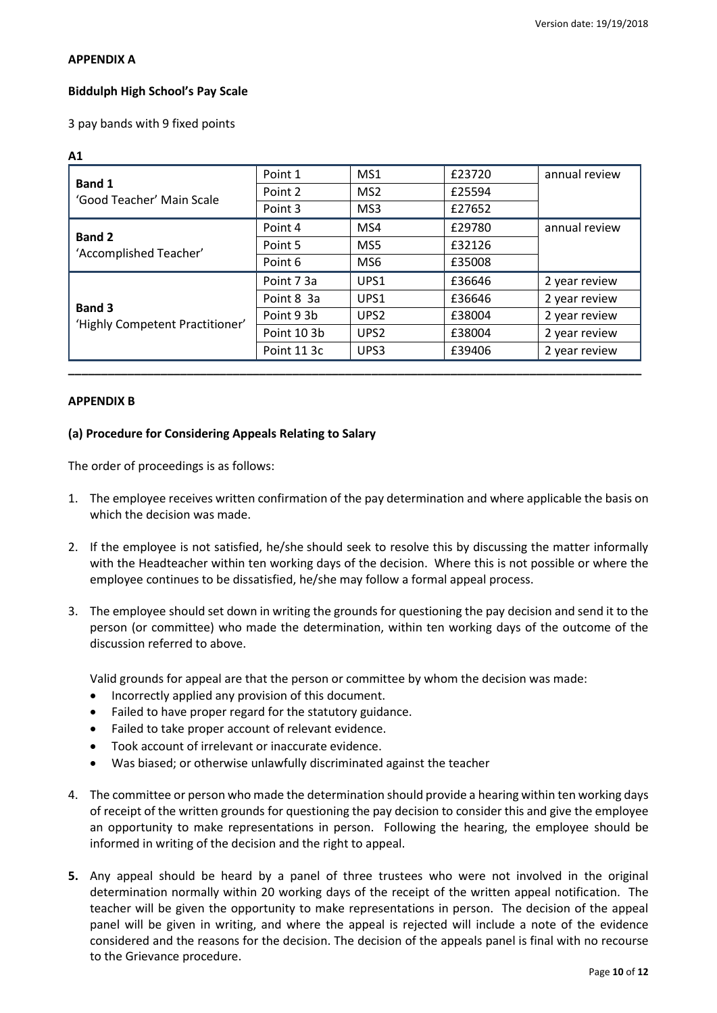## **APPENDIX A**

# **Biddulph High School's Pay Scale**

3 pay bands with 9 fixed points

| ۰ |
|---|
|   |
| ш |
|   |

|                                            | Point 1     | MS1              | £23720 | annual review |  |
|--------------------------------------------|-------------|------------------|--------|---------------|--|
| <b>Band 1</b><br>'Good Teacher' Main Scale | Point 2     | MS <sub>2</sub>  | £25594 |               |  |
|                                            | Point 3     | MS3              | £27652 |               |  |
|                                            | Point 4     | MS4              | £29780 | annual review |  |
| <b>Band 2</b><br>'Accomplished Teacher'    | Point 5     | MS5              | £32126 |               |  |
|                                            | Point 6     | MS <sub>6</sub>  | £35008 |               |  |
|                                            | Point 7 3a  | UPS1             | £36646 | 2 year review |  |
| <b>Band 3</b>                              | Point 8 3a  | UPS1             | £36646 | 2 year review |  |
| 'Highly Competent Practitioner'            | Point 9 3b  | UPS <sub>2</sub> | £38004 | 2 year review |  |
|                                            | Point 103b  | UPS <sub>2</sub> | £38004 | 2 year review |  |
|                                            | Point 11 3c | UPS3             | £39406 | 2 year review |  |
|                                            |             |                  |        |               |  |

# **APPENDIX B**

# **(a) Procedure for Considering Appeals Relating to Salary**

The order of proceedings is as follows:

- 1. The employee receives written confirmation of the pay determination and where applicable the basis on which the decision was made.
- 2. If the employee is not satisfied, he/she should seek to resolve this by discussing the matter informally with the Headteacher within ten working days of the decision. Where this is not possible or where the employee continues to be dissatisfied, he/she may follow a formal appeal process.
- 3. The employee should set down in writing the grounds for questioning the pay decision and send it to the person (or committee) who made the determination, within ten working days of the outcome of the discussion referred to above.

Valid grounds for appeal are that the person or committee by whom the decision was made:

- Incorrectly applied any provision of this document.
- Failed to have proper regard for the statutory guidance.
- Failed to take proper account of relevant evidence.
- Took account of irrelevant or inaccurate evidence.
- Was biased; or otherwise unlawfully discriminated against the teacher
- 4. The committee or person who made the determination should provide a hearing within ten working days of receipt of the written grounds for questioning the pay decision to consider this and give the employee an opportunity to make representations in person. Following the hearing, the employee should be informed in writing of the decision and the right to appeal.
- **5.** Any appeal should be heard by a panel of three trustees who were not involved in the original determination normally within 20 working days of the receipt of the written appeal notification. The teacher will be given the opportunity to make representations in person. The decision of the appeal panel will be given in writing, and where the appeal is rejected will include a note of the evidence considered and the reasons for the decision. The decision of the appeals panel is final with no recourse to the Grievance procedure.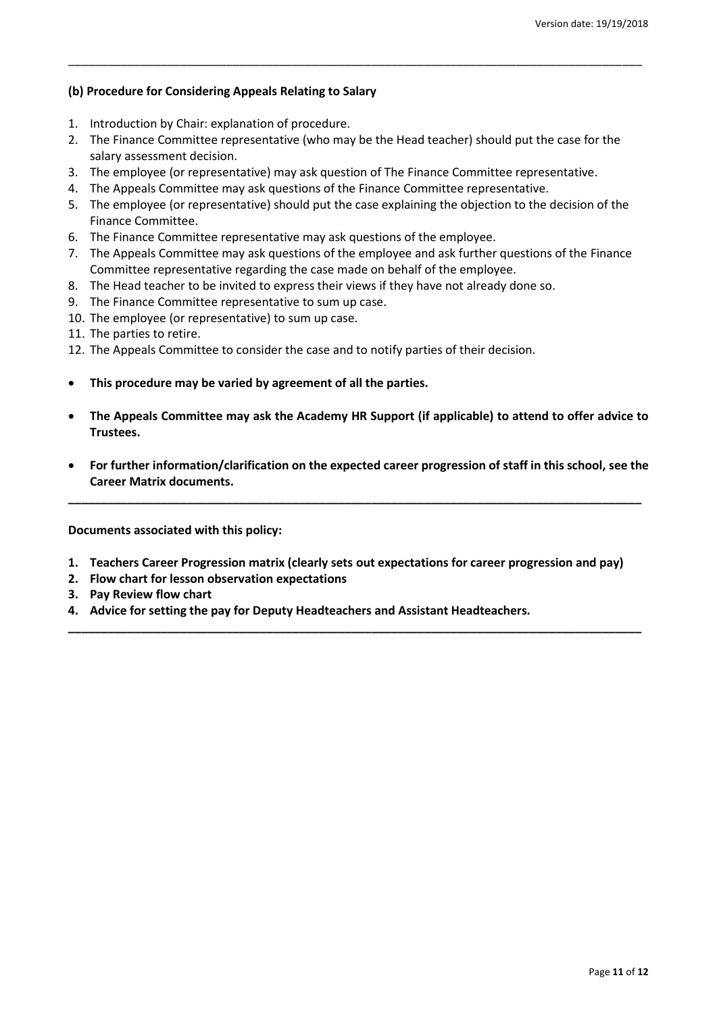# **(b) Procedure for Considering Appeals Relating to Salary**

- 1. Introduction by Chair: explanation of procedure.
- 2. The Finance Committee representative (who may be the Head teacher) should put the case for the salary assessment decision.

\_\_\_\_\_\_\_\_\_\_\_\_\_\_\_\_\_\_\_\_\_\_\_\_\_\_\_\_\_\_\_\_\_\_\_\_\_\_\_\_\_\_\_\_\_\_\_\_\_\_\_\_\_\_\_\_\_\_\_\_\_\_\_\_\_\_\_\_\_\_\_\_\_\_\_\_\_\_\_\_\_\_\_\_\_\_\_

- 3. The employee (or representative) may ask question of The Finance Committee representative.
- 4. The Appeals Committee may ask questions of the Finance Committee representative.
- 5. The employee (or representative) should put the case explaining the objection to the decision of the Finance Committee.
- 6. The Finance Committee representative may ask questions of the employee.
- 7. The Appeals Committee may ask questions of the employee and ask further questions of the Finance Committee representative regarding the case made on behalf of the employee.
- 8. The Head teacher to be invited to express their views if they have not already done so.
- 9. The Finance Committee representative to sum up case.
- 10. The employee (or representative) to sum up case.
- 11. The parties to retire.
- 12. The Appeals Committee to consider the case and to notify parties of their decision.
- **This procedure may be varied by agreement of all the parties.**
- **The Appeals Committee may ask the Academy HR Support (if applicable) to attend to offer advice to Trustees.**
- **For further information/clarification on the expected career progression of staff in this school, see the Career Matrix documents.**

**\_\_\_\_\_\_\_\_\_\_\_\_\_\_\_\_\_\_\_\_\_\_\_\_\_\_\_\_\_\_\_\_\_\_\_\_\_\_\_\_\_\_\_\_\_\_\_\_\_\_\_\_\_\_\_\_\_\_\_\_\_\_\_\_\_\_\_\_\_\_\_\_\_\_\_\_\_\_\_\_\_\_\_\_\_\_\_**

**Documents associated with this policy:**

**1. Teachers Career Progression matrix (clearly sets out expectations for career progression and pay)**

- **2. Flow chart for lesson observation expectations**
- **3. Pay Review flow chart**
- **4. Advice for setting the pay for Deputy Headteachers and Assistant Headteachers.**